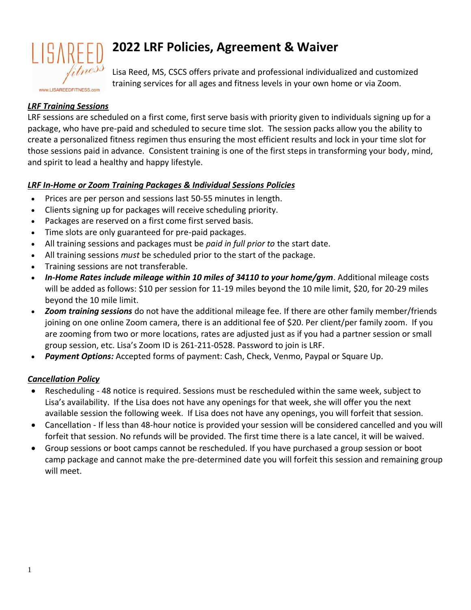

# **2022 LRF Policies, Agreement & Waiver**

Lisa Reed, MS, CSCS offers private and professional individualized and customized training services for all ages and fitness levels in your own home or via Zoom.

# *LRF Training Sessions*

LRF sessions are scheduled on a first come, first serve basis with priority given to individuals signing up for a package, who have pre-paid and scheduled to secure time slot. The session packs allow you the ability to create a personalized fitness regimen thus ensuring the most efficient results and lock in your time slot for those sessions paid in advance. Consistent training is one of the first steps in transforming your body, mind, and spirit to lead a healthy and happy lifestyle.

# *LRF In-Home or Zoom Training Packages & Individual Sessions Policies*

- Prices are per person and sessions last 50-55 minutes in length.
- Clients signing up for packages will receive scheduling priority.
- Packages are reserved on a first come first served basis.
- Time slots are only guaranteed for pre-paid packages.
- All training sessions and packages must be *paid in full prior to* the start date.
- All training sessions *must* be scheduled prior to the start of the package.
- Training sessions are not transferable.
- *In-Home Rates include mileage within 10 miles of 34110 to your home/gym*. Additional mileage costs will be added as follows: \$10 per session for 11-19 miles beyond the 10 mile limit, \$20, for 20-29 miles beyond the 10 mile limit.
- *Zoom training sessions* do not have the additional mileage fee. If there are other family member/friends joining on one online Zoom camera, there is an additional fee of \$20. Per client/per family zoom. If you are zooming from two or more locations, rates are adjusted just as if you had a partner session or small group session, etc. Lisa's Zoom ID is 261-211-0528. Password to join is LRF.
- Payment Options: Accepted forms of payment: Cash, Check, Venmo, Paypal or Square Up.

# *Cancellation Policy*

- Rescheduling 48 notice is required. Sessions must be rescheduled within the same week, subject to Lisa's availability. If the Lisa does not have any openings for that week, she will offer you the next available session the following week. If Lisa does not have any openings, you will forfeit that session.
- Cancellation If less than 48-hour notice is provided your session will be considered cancelled and you will forfeit that session. No refunds will be provided. The first time there is a late cancel, it will be waived.
- Group sessions or boot camps cannot be rescheduled. If you have purchased a group session or boot camp package and cannot make the pre-determined date you will forfeit this session and remaining group will meet.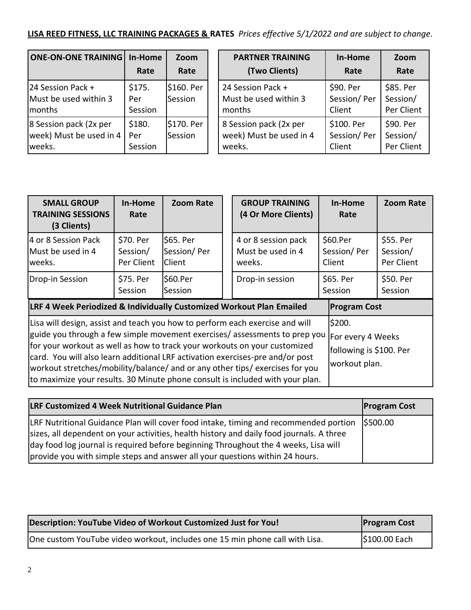# **LISA REED FITNESS, LLC TRAINING PACKAGES & RATES** *Prices effective 5/1/2022 and are subject to change.*

| <b>ONE-ON-ONE TRAINING</b> | In-Home | Zoom       |  |
|----------------------------|---------|------------|--|
|                            | Rate    | Rate       |  |
| 24 Session Pack +          | \$175.  | \$160. Per |  |
| Must be used within 3      | Per     | Session    |  |
| months                     | Session |            |  |
| 8 Session pack (2x per     | \$180.  | \$170. Per |  |
| week) Must be used in 4    | Per     | Session    |  |
| weeks.                     | Session |            |  |

| <b>PARTNER TRAINING</b> | In-Home     | Zoom       |
|-------------------------|-------------|------------|
| (Two Clients)           | Rate        | Rate       |
| 24 Session Pack +       | \$90. Per   | \$85. Per  |
| Must be used within 3   | Session/Per | Session/   |
| months                  | Client      | Per Client |
| 8 Session pack (2x per  | \$100. Per  | \$90. Per  |
| week) Must be used in 4 | Session/Per | Session/   |
| weeks.                  | Client      | Per Client |

| <b>SMALL GROUP</b><br><b>TRAINING SESSIONS</b><br>(3 Clients)                                                                                                                                                                                                                                                                                                                                                                                                                             | In-Home<br>Rate                     | <b>Zoom Rate</b>                          |  | <b>GROUP TRAINING</b><br>(4 Or More Clients)       |  | In-Home<br>Rate                                                         | <b>Zoom Rate</b>                    |
|-------------------------------------------------------------------------------------------------------------------------------------------------------------------------------------------------------------------------------------------------------------------------------------------------------------------------------------------------------------------------------------------------------------------------------------------------------------------------------------------|-------------------------------------|-------------------------------------------|--|----------------------------------------------------|--|-------------------------------------------------------------------------|-------------------------------------|
| 4 or 8 Session Pack<br>Must be used in 4<br>weeks.                                                                                                                                                                                                                                                                                                                                                                                                                                        | \$70. Per<br>Session/<br>Per Client | \$65. Per<br>Session/Per<br><b>Client</b> |  | 4 or 8 session pack<br>Must be used in 4<br>weeks. |  | \$60.Per<br>Session/Per<br>Client                                       | \$55. Per<br>Session/<br>Per Client |
| Drop-in Session                                                                                                                                                                                                                                                                                                                                                                                                                                                                           | \$75. Per<br>Session                | \$60.Per<br>Session                       |  | Drop-in session                                    |  | \$65. Per<br>Session                                                    | \$50. Per<br>Session                |
| LRF 4 Week Periodized & Individually Customized Workout Plan Emailed                                                                                                                                                                                                                                                                                                                                                                                                                      |                                     |                                           |  | <b>Program Cost</b>                                |  |                                                                         |                                     |
| Lisa will design, assist and teach you how to perform each exercise and will<br>guide you through a few simple movement exercises/ assessments to prep you<br>for your workout as well as how to track your workouts on your customized<br>card. You will also learn additional LRF activation exercises-pre and/or post<br>workout stretches/mobility/balance/ and or any other tips/ exercises for you<br>to maximize your results. 30 Minute phone consult is included with your plan. |                                     |                                           |  |                                                    |  | \$200.<br>For every 4 Weeks<br>following is \$100. Per<br>workout plan. |                                     |

| <b>LRF Customized 4 Week Nutritional Guidance Plan</b>                                                                                                                                                                                                                              | <b>Program Cost</b> |
|-------------------------------------------------------------------------------------------------------------------------------------------------------------------------------------------------------------------------------------------------------------------------------------|---------------------|
| [LRF Nutritional Guidance Plan will cover food intake, timing and recommended portion (\$500.00)<br>sizes, all dependent on your activities, health history and daily food journals. A three<br>day food log journal is required before beginning Throughout the 4 weeks, Lisa will |                     |
| provide you with simple steps and answer all your questions within 24 hours.                                                                                                                                                                                                        |                     |

| Description: YouTube Video of Workout Customized Just for You!              | <b>Program Cost</b> |
|-----------------------------------------------------------------------------|---------------------|
| One custom YouTube video workout, includes one 15 min phone call with Lisa. | \$100.00 Each       |